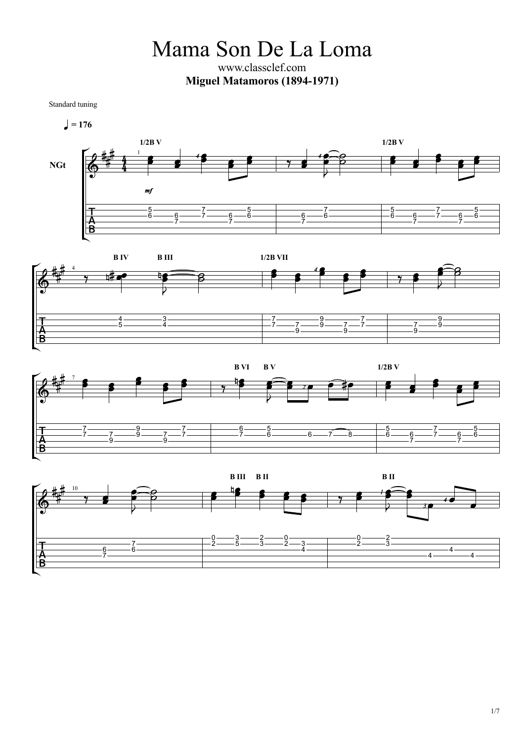Mama Son De La Loma

www.classclef.com **Miguel Matamoros (1894-1971)**

Standard tuning









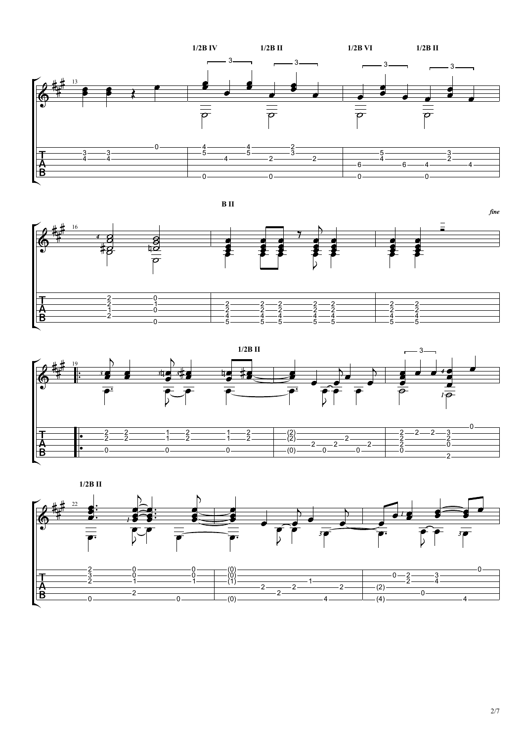

**B II**





**1/2B II**

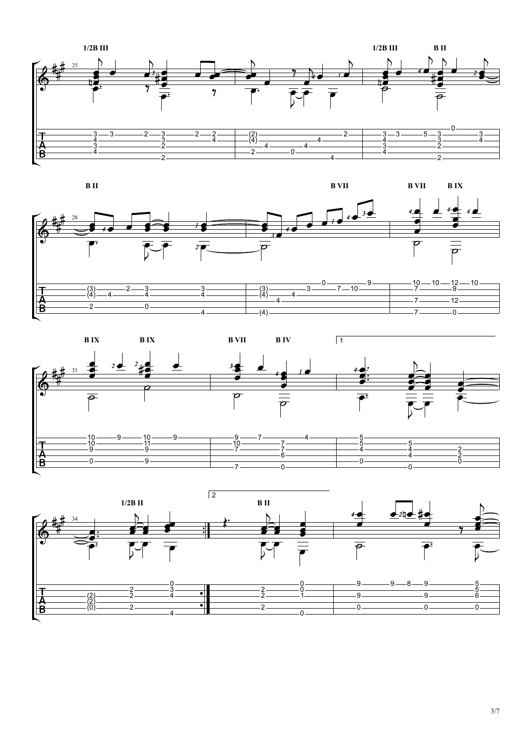



"





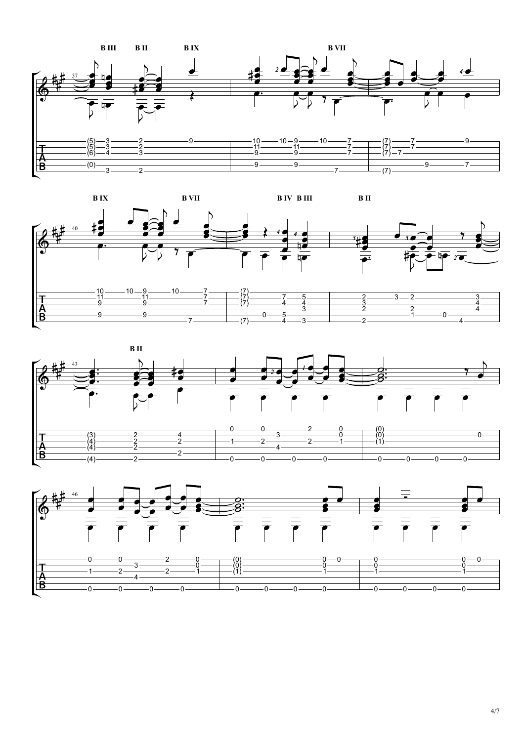





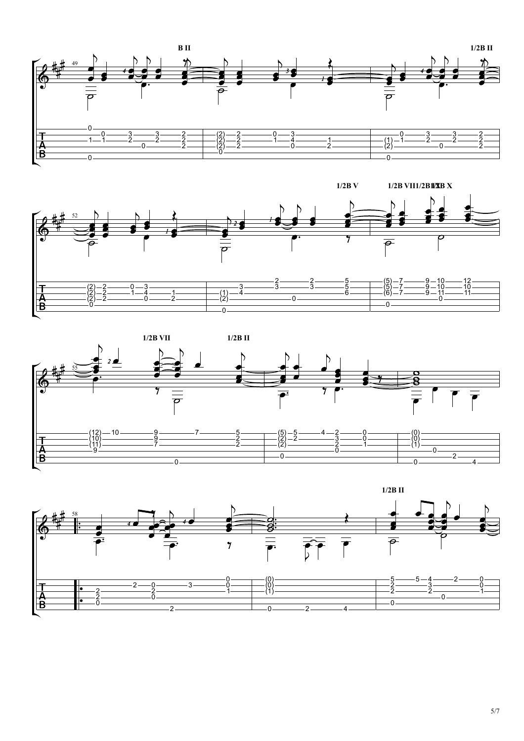





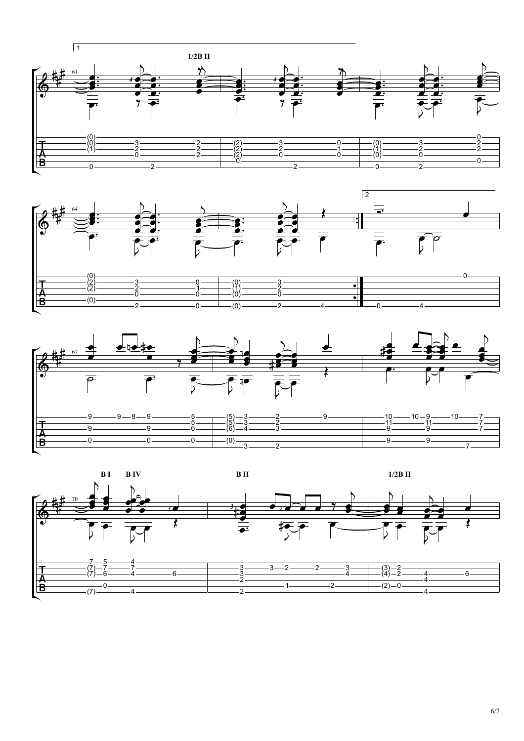







6/7